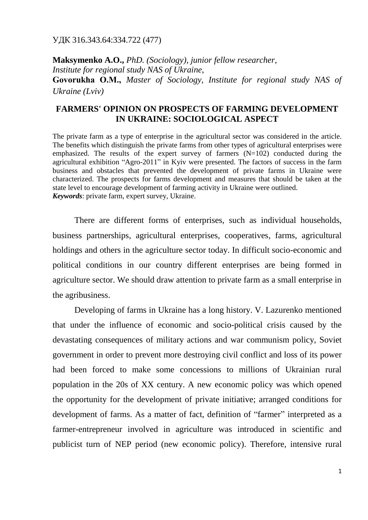УДК 316.343.64:334.722 (477)

**Maksymenko A.O.,** *PhD. (Sociology), junior fellow researcher, Institute for regional study NAS of Ukraine,* **Govorukha О.М.,** *Master of Sociology, Institute for regional study NAS of Ukraine (Lviv)*

## **FARMERS' OPINION ON PROSPECTS OF FARMING DEVELOPMENT IN UKRAINE: SOCIOLOGICAL ASPECT**

The private farm as a type of enterprise in the agricultural sector was considered in the article. The benefits which distinguish the private farms from other types of agricultural enterprises were emphasized. The results of the expert survey of farmers  $(N=102)$  conducted during the agricultural exhibition "Agro-2011" in Kyiv were presented. The factors of success in the farm business and obstacles that prevented the development of private farms in Ukraine were characterized. The prospects for farms development and measures that should be taken at the state level to encourage development of farming activity in Ukraine were outlined. *Keywords*: private farm, expert survey, Ukraine.

There are different forms of enterprises, such as individual households, business partnerships, agricultural enterprises, cooperatives, farms, agricultural holdings and others in the agriculture sector today. In difficult socio-economic and political conditions in our country different enterprises are being formed in agriculture sector. We should draw attention to private farm as a small enterprise in the agribusiness.

Developing of farms in Ukraine has a long history. V. Lazurenko mentioned that under the influence of economic and socio-political crisis caused by the devastating consequences of military actions and war communism policy, Soviet government in order to prevent more destroying civil conflict and loss of its power had been forced to make some concessions to millions of Ukrainian rural population in the 20s of XX century. A new economic policy was which opened the opportunity for the development of private initiative; arranged conditions for development of farms. As a matter of fact, definition of "farmer" interpreted as a farmer-entrepreneur involved in agriculture was introduced in scientific and publicist turn of NEP period (new economic policy). Therefore, intensive rural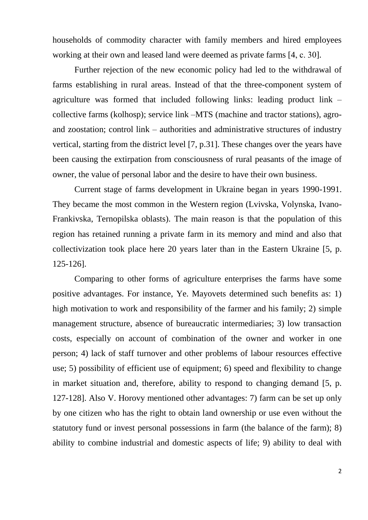households of commodity character with family members and hired employees working at their own and leased land were deemed as private farms [4, c. 30].

Further rejection of the new economic policy had led to the withdrawal of farms establishing in rural areas. Instead of that the three-component system of agriculture was formed that included following links: leading product link – collective farms (kolhosp); service link –MTS (machine and tractor stations), agroand zoostation; control link – authorities and administrative structures of industry vertical, starting from the district level [7, p.31]. These changes over the years have been causing the extirpation from consciousness of rural peasants of the image of owner, the value of personal labor and the desire to have their own business.

Current stage of farms development in Ukraine began in years 1990-1991. They became the most common in the Western region (Lvivska, Volynska, Ivano-Frankivska, Ternopilska oblasts). The main reason is that the population of this region has retained running a private farm in its memory and mind and also that collectivization took place here 20 years later than in the Eastern Ukraine [5, p. 125-126].

Comparing to other forms of agriculture enterprises the farms have some positive advantages. For instance, Ye. Mayovets determined such benefits as: 1) high motivation to work and responsibility of the farmer and his family; 2) simple management structure, absence of bureaucratic intermediaries; 3) low transaction costs, especially on account of combination of the owner and worker in one person; 4) lack of staff turnover and other problems of labour resources effective use; 5) possibility of efficient use of equipment; 6) speed and flexibility to change in market situation and, therefore, ability to respond to changing demand [5, p. 127-128]. Also V. Horovy mentioned other advantages: 7) farm can be set up only by one citizen who has the right to obtain land ownership or use even without the statutory fund or invest personal possessions in farm (the balance of the farm); 8) ability to combine industrial and domestic aspects of life; 9) ability to deal with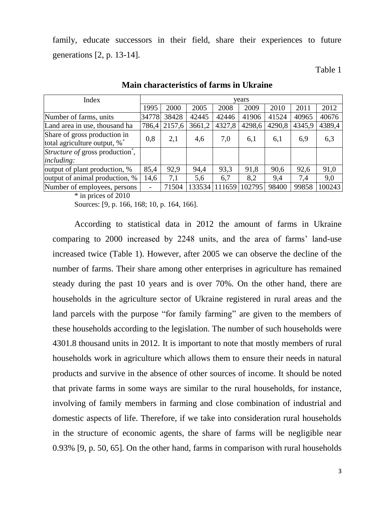family, educate successors in their field, share their experiences to future generations [2, p. 13-14].

Table 1

| Index                                                        | years |        |        |        |        |        |        |        |
|--------------------------------------------------------------|-------|--------|--------|--------|--------|--------|--------|--------|
|                                                              | 1995  | 2000   | 2005   | 2008   | 2009   | 2010   | 2011   | 2012   |
| Number of farms, units                                       | 34778 | 38428  | 42445  | 42446  | 41906  | 41524  | 40965  | 40676  |
| Land area in use, thousand ha                                | 786,4 | 2157,6 | 3661,2 | 4327,8 | 4298,6 | 4290,8 | 4345,9 | 4389,4 |
| Share of gross production in<br>total agriculture output, %* | 0,8   | 2,1    | 4,6    | 7,0    | 6,1    | 6,1    | 6,9    | 6,3    |
| Structure of gross production <sup>*</sup> .<br>including:   |       |        |        |        |        |        |        |        |
| output of plant production, %                                | 85,4  | 92.9   | 94,4   | 93,3   | 91,8   | 90,6   | 92,6   | 91,0   |
| output of animal production, %                               | 14,6  | 7,1    | 5,6    | 6,7    | 8,2    | 9,4    | 7,4    | 9,0    |
| Number of employees, persons                                 |       | 71504  | 133534 | 111659 | 102795 | 98400  | 99858  | 100243 |

**Main characteristics of farms in Ukraine**

\* in prices of 2010

Sources: [9, p. 166, 168; 10, p. 164, 166].

According to statistical data in 2012 the amount of farms in Ukraine comparing to 2000 increased by 2248 units, and the area of farms' land-use increased twice (Table 1). However, after 2005 we can observe the decline of the number of farms. Their share among other enterprises in agriculture has remained steady during the past 10 years and is over 70%. On the other hand, there are households in the agriculture sector of Ukraine registered in rural areas and the land parcels with the purpose "for family farming" are given to the members of these households according to the legislation. The number of such households were 4301.8 thousand units in 2012. It is important to note that mostly members of rural households work in agriculture which allows them to ensure their needs in natural products and survive in the absence of other sources of income. It should be noted that private farms in some ways are similar to the rural households, for instance, involving of family members in farming and close combination of industrial and domestic aspects of life. Therefore, if we take into consideration rural households in the structure of economic agents, the share of farms will be negligible near 0.93% [9, p. 50, 65]. On the other hand, farms in comparison with rural households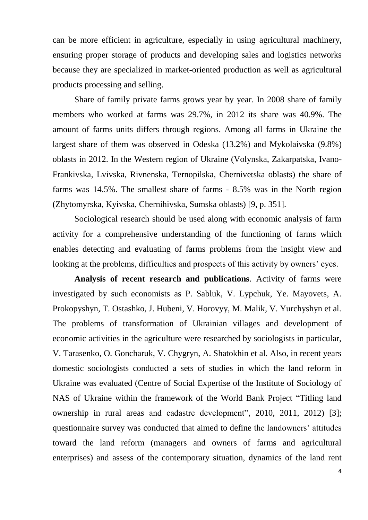can be more efficient in agriculture, especially in using agricultural machinery, ensuring proper storage of products and developing sales and logistics networks because they are specialized in market-oriented production as well as agricultural products processing and selling.

Share of family private farms grows year by year. In 2008 share of family members who worked at farms was 29.7%, in 2012 its share was 40.9%. The amount of farms units differs through regions. Among all farms in Ukraine the largest share of them was observed in Odeska (13.2%) and Mykolaivska (9.8%) oblasts in 2012. In the Western region of Ukraine (Volynska, Zakarpatska, Ivano-Frankivska, Lvivska, Rivnenska, Ternopilska, Chernivetska oblasts) the share of farms was 14.5%. The smallest share of farms - 8.5% was in the North region (Zhytomyrska, Kyivska, Chernihivska, Sumska oblasts) [9, p. 351].

Sociological research should be used along with economic analysis of farm activity for a comprehensive understanding of the functioning of farms which enables detecting and evaluating of farms problems from the insight view and looking at the problems, difficulties and prospects of this activity by owners' eyes.

**Analysis of recent research and publications**. Activity of farms were investigated by such economists as P. Sabluk, V. Lypchuk, Ye. Mayovets, A. Prokopyshyn, T. Ostashko, J. Hubeni, V. Horovyy, M. Malik, V. Yurchyshyn et al. The problems of transformation of Ukrainian villages and development of economic activities in the agriculture were researched by sociologists in particular, V. Tarasenko, O. Goncharuk, V. Chygryn, A. Shatokhin et al. Also, in recent years domestic sociologists conducted a sets of studies in which the land reform in Ukraine was evaluated (Centre of Social Expertise of the Institute of Sociology of NAS of Ukraine within the framework of the World Bank Project "Titling land ownership in rural areas and cadastre development", 2010, 2011, 2012) [3]; questionnaire survey was conducted that aimed to define the landowners' attitudes toward the land reform (managers and owners of farms and agricultural enterprises) and assess of the contemporary situation, dynamics of the land rent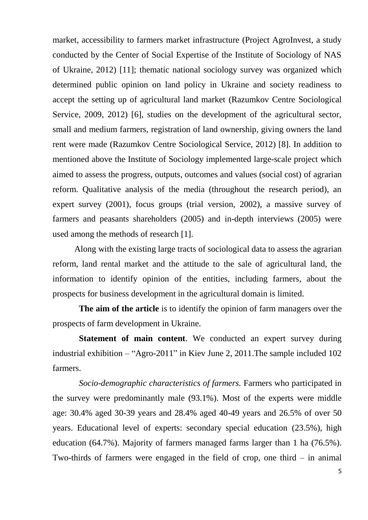market, accessibility to farmers market infrastructure (Project AgroInvest, a study conducted by the Center of Social Expertise of the Institute of Sociology of NAS of Ukraine, 2012) [11]; thematic national sociology survey was organized which determined public opinion on land policy in Ukraine and society readiness to accept the setting up of agricultural land market (Razumkov Centre Sociological Service, 2009, 2012) [6], studies on the development of the agricultural sector, small and medium farmers, registration of land ownership, giving owners the land rent were made (Razumkov Centre Sociological Service, 2012) [8]. In addition to mentioned above the Institute of Sociology implemented large-scale project which aimed to assess the progress, outputs, outcomes and values (social cost) of agrarian reform. Qualitative analysis of the media (throughout the research period), an expert survey (2001), focus groups (trial version, 2002), a massive survey of farmers and peasants shareholders (2005) and in-depth interviews (2005) were used among the methods of research [1].

Along with the existing large tracts of sociological data to assess the agrarian reform, land rental market and the attitude to the sale of agricultural land, the information to identify opinion of the entities, including farmers, about the prospects for business development in the agricultural domain is limited.

**The aim of the article** is to identify the opinion of farm managers over the prospects of farm development in Ukraine.

**Statement of main content**. We conducted an expert survey during industrial exhibition – "Agro-2011" in Kiev June 2, 2011.The sample included 102 farmers.

*Socio-demographic characteristics of farmers.* Farmers who participated in the survey were predominantly male (93.1%). Most of the experts were middle age: 30.4% aged 30-39 years and 28.4% aged 40-49 years and 26.5% of over 50 years. Educational level of experts: secondary special education (23.5%), high education (64.7%). Majority of farmers managed farms larger than 1 ha (76.5%). Two-thirds of farmers were engaged in the field of crop, one third – in animal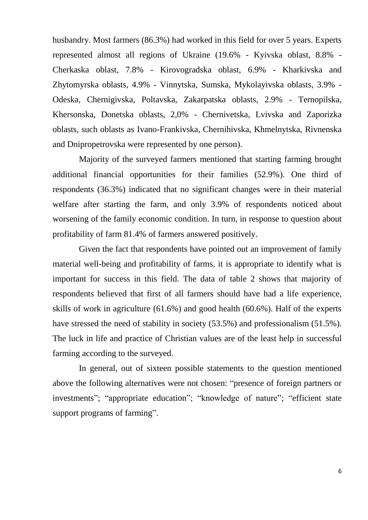husbandry. Most farmers (86.3%) had worked in this field for over 5 years. Experts represented almost all regions of Ukraine (19.6% - Kyivska oblast, 8.8% - Cherkaska oblast, 7.8% - Kirovogradska oblast, 6.9% - Kharkivska and Zhytomyrska oblasts, 4.9% - Vinnytska, Sumska, Mykolayivska oblasts, 3.9% - Odeska, Chernigivska, Poltavska, Zakarpatska oblasts, 2.9% - Ternopilska, Khersonska, Donetska oblasts, 2,0% - Chernivetska, Lvivska and Zaporizka oblasts, such oblasts as Ivano-Frankivska, Chernihivska, Khmelnytska, Rivnenska and Dnipropetrovska were represented by one person).

Majority of the surveyed farmers mentioned that starting farming brought additional financial opportunities for their families (52.9%). One third of respondents (36.3%) indicated that no significant changes were in their material welfare after starting the farm, and only 3.9% of respondents noticed about worsening of the family economic condition. In turn, in response to question about profitability of farm 81.4% of farmers answered positively.

Given the fact that respondents have pointed out an improvement of family material well-being and profitability of farms, it is appropriate to identify what is important for success in this field. The data of table 2 shows that majority of respondents believed that first of all farmers should have had a life experience, skills of work in agriculture (61.6%) and good health (60.6%). Half of the experts have stressed the need of stability in society (53.5%) and professionalism (51.5%). The luck in life and practice of Christian values are of the least help in successful farming according to the surveyed.

In general, out of sixteen possible statements to the question mentioned above the following alternatives were not chosen: "presence of foreign partners or investments"; "appropriate education"; "knowledge of nature"; "efficient state support programs of farming".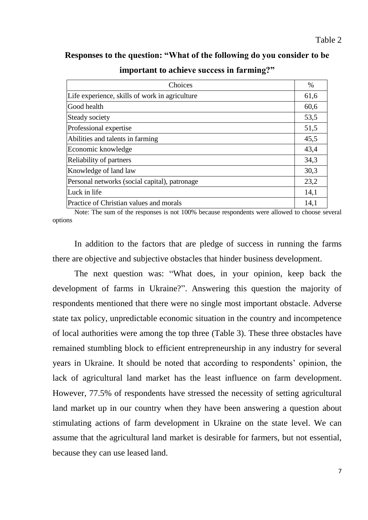## **Responses to the question: "What of the following do you consider to be**

| Choices                                        | $\%$ |
|------------------------------------------------|------|
| Life experience, skills of work in agriculture | 61,6 |
| Good health                                    | 60,6 |
| Steady society                                 | 53,5 |
| Professional expertise                         | 51,5 |
| Abilities and talents in farming               | 45,5 |
| Economic knowledge                             | 43,4 |
| Reliability of partners                        | 34,3 |
| Knowledge of land law                          | 30,3 |
| Personal networks (social capital), patronage  | 23,2 |
| Luck in life                                   | 14,1 |
| Practice of Christian values and morals        | 14,1 |

**important to achieve success in farming?"**

Note: The sum of the responses is not 100% because respondents were allowed to choose several options

In addition to the factors that are pledge of success in running the farms there are objective and subjective obstacles that hinder business development.

The next question was: "What does, in your opinion, keep back the development of farms in Ukraine?". Answering this question the majority of respondents mentioned that there were no single most important obstacle. Adverse state tax policy, unpredictable economic situation in the country and incompetence of local authorities were among the top three (Table 3). These three obstacles have remained stumbling block to efficient entrepreneurship in any industry for several years in Ukraine. It should be noted that according to respondents' opinion, the lack of agricultural land market has the least influence on farm development. However, 77.5% of respondents have stressed the necessity of setting agricultural land market up in our country when they have been answering a question about stimulating actions of farm development in Ukraine on the state level. We can assume that the agricultural land market is desirable for farmers, but not essential, because they can use leased land.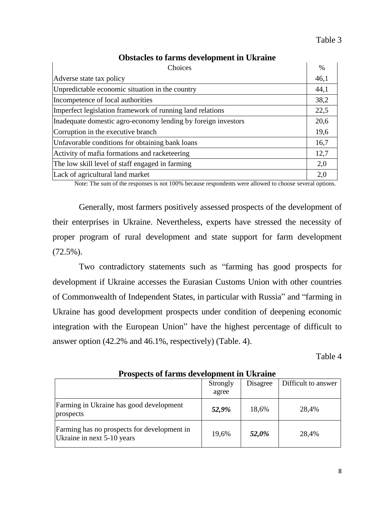Table 3

| Choices                                                       | $\%$ |  |
|---------------------------------------------------------------|------|--|
| Adverse state tax policy                                      | 46,1 |  |
| Unpredictable economic situation in the country               | 44,1 |  |
| Incompetence of local authorities                             | 38,2 |  |
| Imperfect legislation framework of running land relations     | 22,5 |  |
| Inadequate domestic agro-economy lending by foreign investors | 20,6 |  |
| Corruption in the executive branch                            | 19,6 |  |
| Unfavorable conditions for obtaining bank loans               | 16,7 |  |
| Activity of mafia formations and racketeering                 | 12,7 |  |
| The low skill level of staff engaged in farming               | 2,0  |  |
| Lack of agricultural land market                              | 2,0  |  |

## **Obstacles to farms development in Ukraine**

Note: The sum of the responses is not 100% because respondents were allowed to choose several options.

Generally, most farmers positively assessed prospects of the development of their enterprises in Ukraine. Nevertheless, experts have stressed the necessity of proper program of rural development and state support for farm development (72.5%).

Two contradictory statements such as "farming has good prospects for development if Ukraine accesses the Eurasian Customs Union with other countries of Commonwealth of Independent States, in particular with Russia" and "farming in Ukraine has good development prospects under condition of deepening economic integration with the European Union" have the highest percentage of difficult to answer option (42.2% and 46.1%, respectively) (Table. 4).

Table 4

|                                                                           | Strongly<br>agree | Disagree | Difficult to answer |  |
|---------------------------------------------------------------------------|-------------------|----------|---------------------|--|
| Farming in Ukraine has good development<br>prospects                      | 52,9%             | 18,6%    | 28,4%               |  |
| Farming has no prospects for development in<br>Ukraine in next 5-10 years | 19,6%             | 52,0%    | 28,4%               |  |

**Prospects of farms development in Ukraine**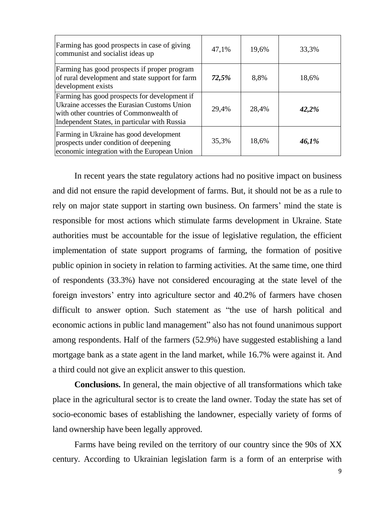| Farming has good prospects in case of giving<br>communist and socialist ideas up                                                                                                         | 47,1% | 19,6% | 33,3% |
|------------------------------------------------------------------------------------------------------------------------------------------------------------------------------------------|-------|-------|-------|
| Farming has good prospects if proper program<br>of rural development and state support for farm<br>development exists                                                                    | 72,5% | 8,8%  | 18,6% |
| Farming has good prospects for development if<br>Ukraine accesses the Eurasian Customs Union<br>with other countries of Commonwealth of<br>Independent States, in particular with Russia | 29,4% | 28,4% | 42,2% |
| Farming in Ukraine has good development<br>prospects under condition of deepening<br>economic integration with the European Union                                                        | 35,3% | 18,6% | 46,1% |

In recent years the state regulatory actions had no positive impact on business and did not ensure the rapid development of farms. But, it should not be as a rule to rely on major state support in starting own business. On farmers' mind the state is responsible for most actions which stimulate farms development in Ukraine. State authorities must be accountable for the issue of legislative regulation, the efficient implementation of state support programs of farming, the formation of positive public opinion in society in relation to farming activities. At the same time, one third of respondents (33.3%) have not considered encouraging at the state level of the foreign investors' entry into agriculture sector and 40.2% of farmers have chosen difficult to answer option. Such statement as "the use of harsh political and economic actions in public land management" also has not found unanimous support among respondents. Half of the farmers (52.9%) have suggested establishing a land mortgage bank as a state agent in the land market, while 16.7% were against it. And a third could not give an explicit answer to this question.

**Conclusions.** In general, the main objective of all transformations which take place in the agricultural sector is to create the land owner. Today the state has set of socio-economic bases of establishing the landowner, especially variety of forms of land ownership have been legally approved.

Farms have being reviled on the territory of our country since the 90s of XX century. According to Ukrainian legislation farm is a form of an enterprise with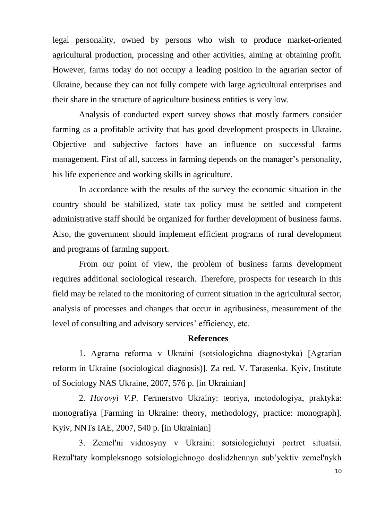legal personality, owned by persons who wish to produce market-oriented agricultural production, processing and other activities, aiming at obtaining profit. However, farms today do not occupy a leading position in the agrarian sector of Ukraine, because they can not fully compete with large agricultural enterprises and their share in the structure of agriculture business entities is very low.

Analysis of conducted expert survey shows that mostly farmers consider farming as a profitable activity that has good development prospects in Ukraine. Objective and subjective factors have an influence on successful farms management. First of all, success in farming depends on the manager's personality, his life experience and working skills in agriculture.

In accordance with the results of the survey the economic situation in the country should be stabilized, state tax policy must be settled and competent administrative staff should be organized for further development of business farms. Also, the government should implement efficient programs of rural development and programs of farming support.

From our point of view, the problem of business farms development requires additional sociological research. Therefore, prospects for research in this field may be related to the monitoring of current situation in the agricultural sector, analysis of processes and changes that occur in agribusiness, measurement of the level of consulting and advisory services' efficiency, etc.

## **References**

1. Agrarna reforma v Ukrainі (sotsіologіchna dіagnostyka) [Agrarian reform in Ukraine (sociological diagnosis)]. Za red. V. Tarasenka. Kyiv, Institute of Sociology NAS Ukraine, 2007, 576 p. [in Ukrainian]

2. *Horovyi V.P.* Fermerstvo Ukrainy: teorіya, metodologіya, praktyka: monografiya [Farming in Ukraine: theory, methodology, practice: monograph]. Kyiv, NNTs IAE, 2007, 540 p. [in Ukrainian]

3. Zemel'nі vіdnosyny v Ukrainі: sotsіologіchnyi portret situatsіi. Rezul'taty kompleksnogo sotsіologіchnogo doslіdzhennya sub'yektіv zemel'nykh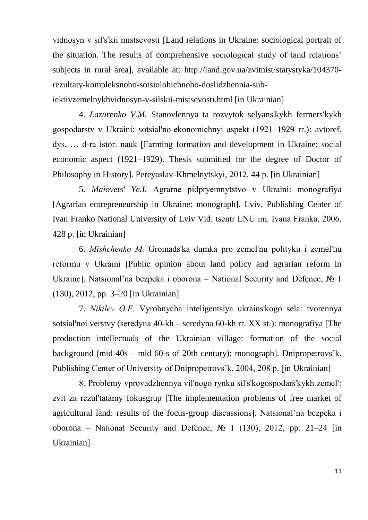vіdnosyn v sіl's'kіi mіstsevostі [Land relations in Ukraine: sociological portrait of the situation. The results of comprehensive sociological study of land relations' subjects in rural area], available at: http://land.gov.ua/zvitnist/statystyka/104370 rezultaty-kompleksnoho-sotsiolohichnoho-doslidzhennia-subiektivzemelnykhvidnosyn-v-silskii-mistsevosti.html [in Ukrainian]

4. *Lazurenko V.M.* Stanovlennya ta rozvytok selyans'kykh fermers'kykh gospodarstv v Ukrainі: sotsіal'no-ekonomіchnyi aspekt (1921–1929 rr.): avtoref. dys. … d-ra іstor. nauk [Farming formation and development in Ukraine: social economic aspect (1921–1929). Thesis submitted for the degree of Doctor of Philosophy in History]. Pereyaslav-Khmelnytskyi, 2012, 44 p. [in Ukrainian]

5. *Maiovets' Ye.I.* Agrarne pіdpryemnytstvo v Ukrainі: monografiya [Agrarian entrepreneurship in Ukraine: monograph]. Lviv, Publishing Center of Ivan Franko National University of Lviv Vid. tsentr LNU іm. Іvana Franka, 2006, 428 p. [in Ukrainian]

6. *Mіshchenko M.* Gromads'ka dumka pro zemel'nu polіtyku і zemel'nu reformu v Ukrainі [Public opinion about land policy and agrarian reform in Ukraine]. Natsional'na bezpeka і oborona – National Security and Defence, № 1 (130), 2012, pp. 3–20 [in Ukrainian]

7. *Nіkіlev O.F.* Vyrobnycha іntelіgentsіya ukrains'kogo sela: tvorennya sotsіal'noi verstvy (seredyna 40-kh – seredyna 60-kh rr. XX st.): monografiya [The production intellectuals of the Ukrainian village: formation of the social background (mid 40s – mid 60-s of 20th century): monograph]. Dnipropetrovs'k, Publishing Center of University of Dnipropetrovs'k, 2004, 208 p. [in Ukrainian]

8. Problemy vprovadzhennya vіl'nogo rynku sіl's'kogospodars'kykh zemel': zvіt za rezul'tatamy fokusgrup [The implementation problems of free market of agricultural land: results of the focus-group discussions]. Natsional'na bezpeka і oborona – National Security and Defence,  $\mathcal{N}_2$  1 (130), 2012, pp. 21–24 [in Ukrainian]